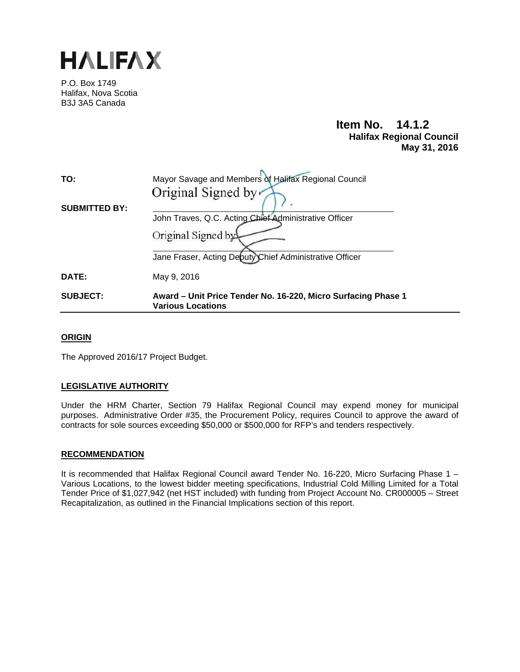

P.O. Box 1749 Halifax, Nova Scotia B3J 3A5 Canada

# **Item No. 14.1.2 Halifax Regional Council May 31, 2016**

| TO:                  | Mayor Savage and Members of Halifax Regional Council                                      |  |  |
|----------------------|-------------------------------------------------------------------------------------------|--|--|
|                      | Original Signed by                                                                        |  |  |
| <b>SUBMITTED BY:</b> | John Traves, Q.C. Acting Chief Administrative Officer                                     |  |  |
|                      | Original Signed by                                                                        |  |  |
|                      | Jane Fraser, Acting Deputy Chief Administrative Officer                                   |  |  |
| DATE:                | May 9, 2016                                                                               |  |  |
| <b>SUBJECT:</b>      | Award – Unit Price Tender No. 16-220, Micro Surfacing Phase 1<br><b>Various Locations</b> |  |  |

### **ORIGIN**

The Approved 2016/17 Project Budget.

## **LEGISLATIVE AUTHORITY**

Under the HRM Charter, Section 79 Halifax Regional Council may expend money for municipal purposes. Administrative Order #35, the Procurement Policy, requires Council to approve the award of contracts for sole sources exceeding \$50,000 or \$500,000 for RFP's and tenders respectively.

#### **RECOMMENDATION**

It is recommended that Halifax Regional Council award Tender No. 16-220, Micro Surfacing Phase 1 -Various Locations, to the lowest bidder meeting specifications, Industrial Cold Milling Limited for a Total Tender Price of \$1,027,942 (net HST included) with funding from Project Account No. CR000005 – Street Recapitalization, as outlined in the Financial Implications section of this report.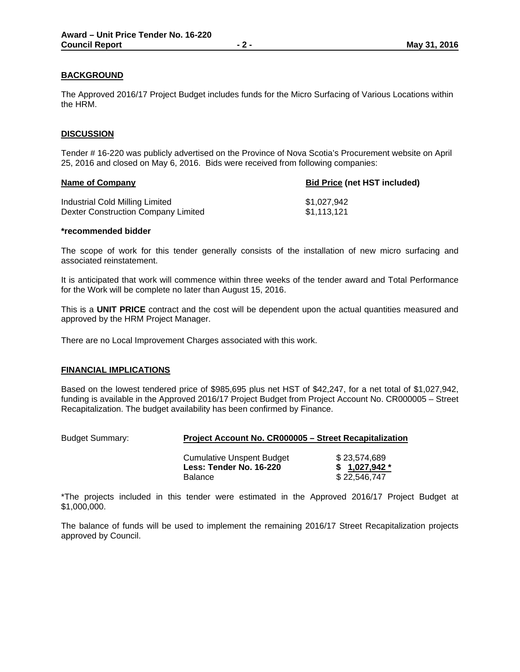#### **BACKGROUND**

The Approved 2016/17 Project Budget includes funds for the Micro Surfacing of Various Locations within the HRM.

#### **DISCUSSION**

Tender # 16-220 was publicly advertised on the Province of Nova Scotia's Procurement website on April 25, 2016 and closed on May 6, 2016. Bids were received from following companies:

| <b>Bid Price (net HST included)</b> |
|-------------------------------------|
| \$1.027.942                         |
| \$1.113.121                         |
|                                     |

#### **\*recommended bidder**

The scope of work for this tender generally consists of the installation of new micro surfacing and associated reinstatement.

It is anticipated that work will commence within three weeks of the tender award and Total Performance for the Work will be complete no later than August 15, 2016.

This is a **UNIT PRICE** contract and the cost will be dependent upon the actual quantities measured and approved by the HRM Project Manager.

There are no Local Improvement Charges associated with this work.

#### **FINANCIAL IMPLICATIONS**

Based on the lowest tendered price of \$985,695 plus net HST of \$42,247, for a net total of \$1,027,942, funding is available in the Approved 2016/17 Project Budget from Project Account No. CR000005 – Street Recapitalization. The budget availability has been confirmed by Finance.

#### Budget Summary: **Project Account No. CR000005 – Street Recapitalization**

| Cumulative Unspent Budget | \$23.574.689   |
|---------------------------|----------------|
| Less: Tender No. 16-220   | $$1,027,942$ * |
| <b>Balance</b>            | \$22,546,747   |

\*The projects included in this tender were estimated in the Approved 2016/17 Project Budget at \$1,000,000.

The balance of funds will be used to implement the remaining 2016/17 Street Recapitalization projects approved by Council.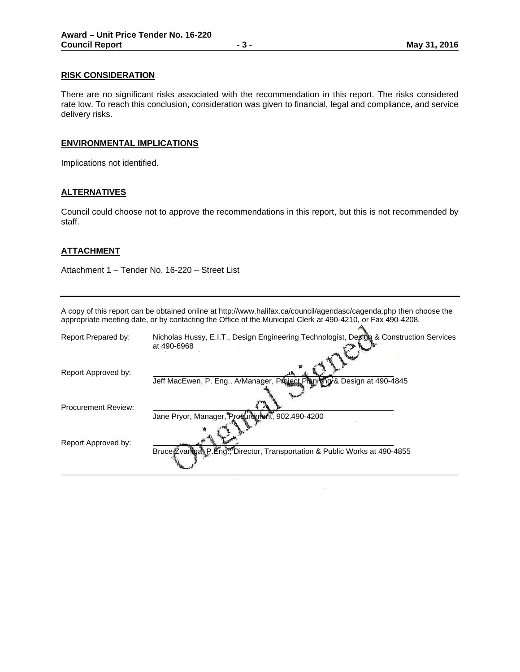#### **RISK CONSIDERATION**

There are no significant risks associated with the recommendation in this report. The risks considered rate low. To reach this conclusion, consideration was given to financial, legal and compliance, and service delivery risks.

#### **ENVIRONMENTAL IMPLICATIONS**

Implications not identified.

#### **ALTERNATIVES**

Council could choose not to approve the recommendations in this report, but this is not recommended by staff.

#### **ATTACHMENT**

Attachment 1 – Tender No. 16-220 – Street List

A copy of this report can be obtained online at http://www.halifax.ca/council/agendasc/cagenda.php then choose the appropriate meeting date, or by contacting the Office of the Municipal Clerk at 490-4210, or Fax 490-4208.  $\mathcal{A}_k$ 

| Report Prepared by:        | Nicholas Hussy, E.I.T., Design Engineering Technologist, Design & Construction Services<br>at 490-6968 |
|----------------------------|--------------------------------------------------------------------------------------------------------|
| Report Approved by:        | Jeff MacEwen, P. Eng., A/Manager, Project Pranting & Design at 490-4845                                |
| <b>Procurement Review:</b> |                                                                                                        |
|                            | Jane Pryor, Manager, Prosurent 802.490-4200                                                            |
| Report Approved by:        | Bruce Zvaniga P. Eng., Director, Transportation & Public Works at 490-4855                             |